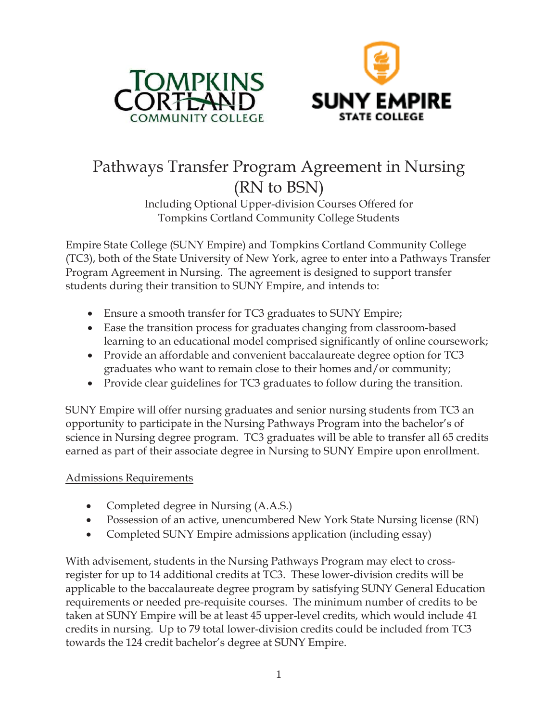



# Pathways Transfer Program Agreement in Nursing (RN to BSN)

Including Optional Upper-division Courses Offered for Tompkins Cortland Community College Students

Empire State College (SUNY Empire) and Tompkins Cortland Community College (TC3), both of the State University of New York, agree to enter into a Pathways Transfer Program Agreement in Nursing. The agreement is designed to support transfer students during their transition to SUNY Empire, and intends to:

- Ensure a smooth transfer for TC3 graduates to SUNY Empire;
- Ease the transition process for graduates changing from classroom-based learning to an educational model comprised significantly of online coursework;
- Provide an affordable and convenient baccalaureate degree option for TC3 graduates who want to remain close to their homes and/or community;
- Provide clear guidelines for TC3 graduates to follow during the transition.

SUNY Empire will offer nursing graduates and senior nursing students from TC3 an opportunity to participate in the Nursing Pathways Program into the bachelor's of science in Nursing degree program. TC3 graduates will be able to transfer all 65 credits earned as part of their associate degree in Nursing to SUNY Empire upon enrollment.

# Admissions Requirements

- Completed degree in Nursing (A.A.S.)
- Possession of an active, unencumbered New York State Nursing license (RN)
- Completed SUNY Empire admissions application (including essay)

With advisement, students in the Nursing Pathways Program may elect to crossregister for up to 14 additional credits at TC3. These lower-division credits will be applicable to the baccalaureate degree program by satisfying SUNY General Education requirements or needed pre-requisite courses. The minimum number of credits to be taken at SUNY Empire will be at least 45 upper-level credits, which would include 41 credits in nursing. Up to 79 total lower-division credits could be included from TC3 towards the 124 credit bachelor's degree at SUNY Empire.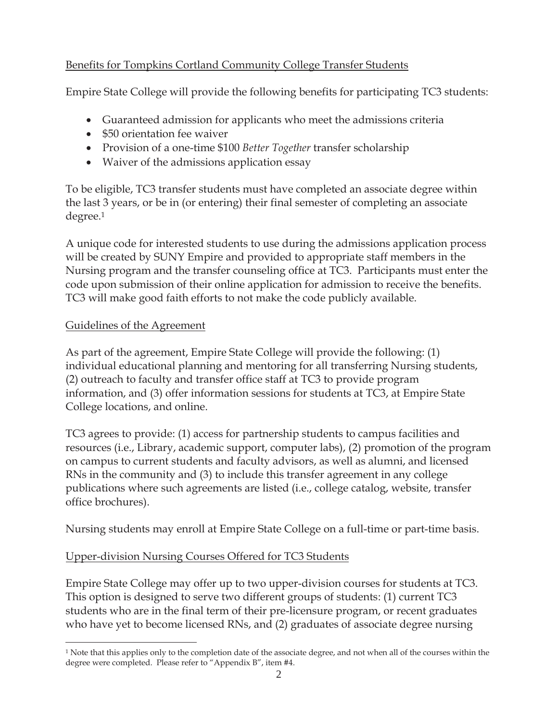# Benefits for Tompkins Cortland Community College Transfer Students

Empire State College will provide the following benefits for participating TC3 students:

- Guaranteed admission for applicants who meet the admissions criteria
- \$50 orientation fee waiver
- x Provision of a one-time \$100 *Better Together* transfer scholarship
- Waiver of the admissions application essay

To be eligible, TC3 transfer students must have completed an associate degree within the last 3 years, or be in (or entering) their final semester of completing an associate degree.1

A unique code for interested students to use during the admissions application process will be created by SUNY Empire and provided to appropriate staff members in the Nursing program and the transfer counseling office at TC3. Participants must enter the code upon submission of their online application for admission to receive the benefits. TC3 will make good faith efforts to not make the code publicly available.

# Guidelines of the Agreement

As part of the agreement, Empire State College will provide the following: (1) individual educational planning and mentoring for all transferring Nursing students, (2) outreach to faculty and transfer office staff at TC3 to provide program information, and (3) offer information sessions for students at TC3, at Empire State College locations, and online.

TC3 agrees to provide: (1) access for partnership students to campus facilities and resources (i.e., Library, academic support, computer labs), (2) promotion of the program on campus to current students and faculty advisors, as well as alumni, and licensed RNs in the community and (3) to include this transfer agreement in any college publications where such agreements are listed (i.e., college catalog, website, transfer office brochures).

Nursing students may enroll at Empire State College on a full-time or part-time basis.

# Upper-division Nursing Courses Offered for TC3 Students

Empire State College may offer up to two upper-division courses for students at TC3. This option is designed to serve two different groups of students: (1) current TC3 students who are in the final term of their pre-licensure program, or recent graduates who have yet to become licensed RNs, and (2) graduates of associate degree nursing

<sup>1</sup> Note that this applies only to the completion date of the associate degree, and not when all of the courses within the degree were completed. Please refer to "Appendix B", item #4.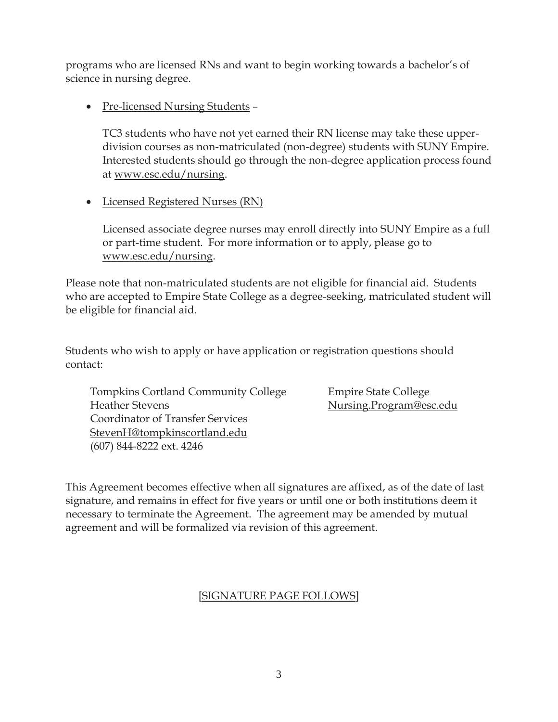programs who are licensed RNs and want to begin working towards a bachelor's of science in nursing degree.

• Pre-licensed Nursing Students –

TC3 students who have not yet earned their RN license may take these upperdivision courses as non-matriculated (non-degree) students with SUNY Empire. Interested students should go through the non-degree application process found at www.esc.edu/nursing.

• Licensed Registered Nurses (RN)

Licensed associate degree nurses may enroll directly into SUNY Empire as a full or part-time student. For more information or to apply, please go to www.esc.edu/nursing.

Please note that non-matriculated students are not eligible for financial aid. Students who are accepted to Empire State College as a degree-seeking, matriculated student will be eligible for financial aid.

Students who wish to apply or have application or registration questions should contact:

Tompkins Cortland Community College Empire State College Heather Stevens Nursing.Program@esc.edu Coordinator of Transfer Services StevenH@tompkinscortland.edu (607) 844-8222 ext. 4246

This Agreement becomes effective when all signatures are affixed, as of the date of last signature, and remains in effect for five years or until one or both institutions deem it necessary to terminate the Agreement. The agreement may be amended by mutual agreement and will be formalized via revision of this agreement.

# [SIGNATURE PAGE FOLLOWS]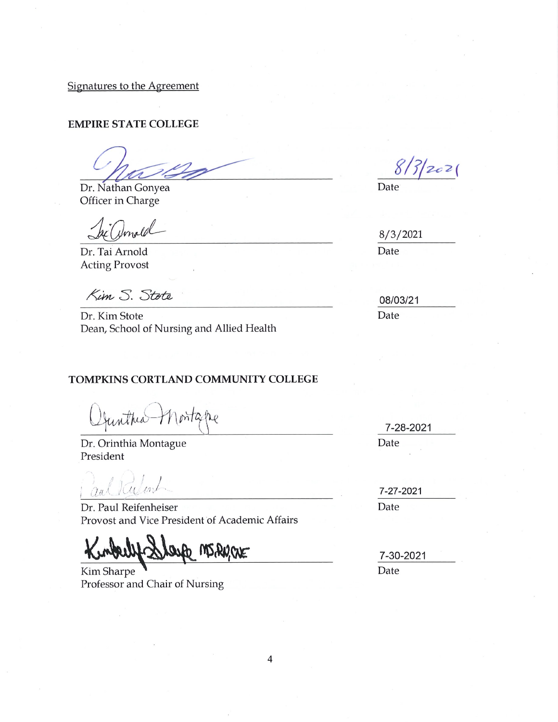Signatures to the Agreement

#### **EMPIRE STATE COLLEGE**

Dr. Nathan Gonyea Officer in Charge

mald

Dr. Tai Arnold **Acting Provost** 

Kim S. Stote

Dr. Kim Stote Dean, School of Nursing and Allied Health

#### TOMPKINS CORTLAND COMMUNITY COLLEGE

untheal Montagne

Dr. Orinthia Montague President

aultalent

Dr. Paul Reifenheiser Provost and Vice President of Academic Affairs

CNE argy W2520

Kim Sharpe Professor and Chair of Nursing

 $8/3/202$ 

Date

 $8/3/2021$ Date

08/03/21 Date

7-28-2021 Date

7-27-2021 Date

7-30-2021 Date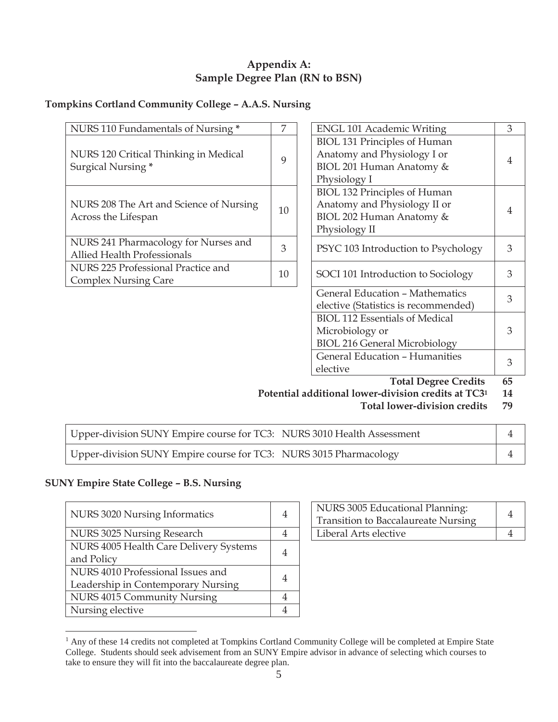## **Appendix A: Sample Degree Plan (RN to BSN)**

## **Tompkins Cortland Community College – A.A.S. Nursing**

| NURS 110 Fundamentals of Nursing *                                  | 7           | <b>ENGL 101 Academic Writing</b>                                                                                 | 3  |
|---------------------------------------------------------------------|-------------|------------------------------------------------------------------------------------------------------------------|----|
| NURS 120 Critical Thinking in Medical<br>Surgical Nursing*          | $\mathbf Q$ | <b>BIOL 131 Principles of Human</b><br>Anatomy and Physiology I or<br>BIOL 201 Human Anatomy &<br>Physiology I   | 4  |
| NURS 208 The Art and Science of Nursing<br>Across the Lifespan      | 10          | <b>BIOL 132 Principles of Human</b><br>Anatomy and Physiology II or<br>BIOL 202 Human Anatomy &<br>Physiology II | 4  |
| NURS 241 Pharmacology for Nurses and<br>Allied Health Professionals | 3           | PSYC 103 Introduction to Psychology                                                                              | 3  |
| NURS 225 Professional Practice and<br><b>Complex Nursing Care</b>   | 10          | SOCI 101 Introduction to Sociology                                                                               | 3  |
|                                                                     |             | <b>General Education - Mathematics</b><br>elective (Statistics is recommended)                                   | 3  |
|                                                                     |             | <b>BIOL 112 Essentials of Medical</b><br>Microbiology or<br><b>BIOL 216 General Microbiology</b>                 | 3  |
|                                                                     |             | <b>General Education - Humanities</b><br>elective                                                                | 3  |
|                                                                     |             | <b>Total Degree Credits</b>                                                                                      | 65 |

**Potential additional lower-division credits at TC31 14** 

**Total lower-division credits 79** 

| Upper-division SUNY Empire course for TC3: NURS 3010 Health Assessment |  |
|------------------------------------------------------------------------|--|
| Upper-division SUNY Empire course for TC3: NURS 3015 Pharmacology      |  |

### **SUNY Empire State College – B.S. Nursing**

| NURS 3020 Nursing Informatics          | 4 | NURS 3005 Educational Planning:<br><b>Transition to Baccalaureate Nursing</b> | 4 |
|----------------------------------------|---|-------------------------------------------------------------------------------|---|
| NURS 3025 Nursing Research             | 4 | Liberal Arts elective                                                         | 4 |
| NURS 4005 Health Care Delivery Systems | 4 |                                                                               |   |
| and Policy                             |   |                                                                               |   |
| NURS 4010 Professional Issues and      | 4 |                                                                               |   |
| Leadership in Contemporary Nursing     |   |                                                                               |   |
| NURS 4015 Community Nursing            | 4 |                                                                               |   |
| Nursing elective                       | 4 |                                                                               |   |

| NURS 3005 Educational Planning:<br><b>Transition to Baccalaureate Nursing</b> |  |
|-------------------------------------------------------------------------------|--|
| Liberal Arts elective                                                         |  |

<sup>&</sup>lt;sup>1</sup> Any of these 14 credits not completed at Tompkins Cortland Community College will be completed at Empire State College. Students should seek advisement from an SUNY Empire advisor in advance of selecting which courses to take to ensure they will fit into the baccalaureate degree plan.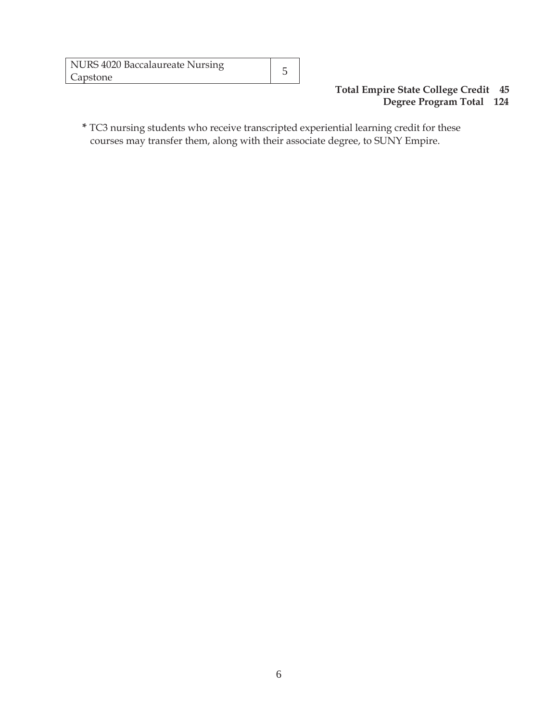| NURS 4020 Baccalaureate Nursing |  |
|---------------------------------|--|
| Capstone                        |  |

#### **Total Empire State College Credit 45 Degree Program Total 124**

**\*** TC3 nursing students who receive transcripted experiential learning credit for these courses may transfer them, along with their associate degree, to SUNY Empire.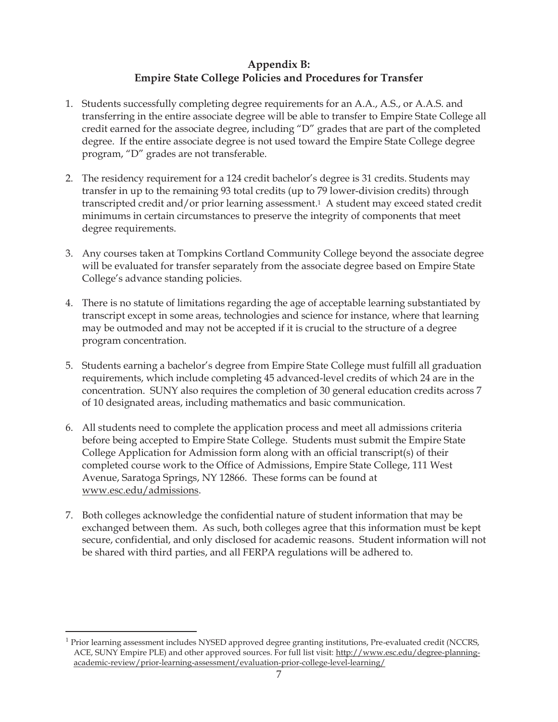## **Appendix B: Empire State College Policies and Procedures for Transfer**

- 1. Students successfully completing degree requirements for an A.A., A.S., or A.A.S. and transferring in the entire associate degree will be able to transfer to Empire State College all credit earned for the associate degree, including "D" grades that are part of the completed degree. If the entire associate degree is not used toward the Empire State College degree program, "D" grades are not transferable.
- 2. The residency requirement for a 124 credit bachelor's degree is 31 credits. Students may transfer in up to the remaining 93 total credits (up to 79 lower-division credits) through transcripted credit and/or prior learning assessment.1 A student may exceed stated credit minimums in certain circumstances to preserve the integrity of components that meet degree requirements.
- 3. Any courses taken at Tompkins Cortland Community College beyond the associate degree will be evaluated for transfer separately from the associate degree based on Empire State College's advance standing policies.
- 4. There is no statute of limitations regarding the age of acceptable learning substantiated by transcript except in some areas, technologies and science for instance, where that learning may be outmoded and may not be accepted if it is crucial to the structure of a degree program concentration.
- 5. Students earning a bachelor's degree from Empire State College must fulfill all graduation requirements, which include completing 45 advanced-level credits of which 24 are in the concentration. SUNY also requires the completion of 30 general education credits across 7 of 10 designated areas, including mathematics and basic communication.
- 6. All students need to complete the application process and meet all admissions criteria before being accepted to Empire State College. Students must submit the Empire State College Application for Admission form along with an official transcript(s) of their completed course work to the Office of Admissions, Empire State College, 111 West Avenue, Saratoga Springs, NY 12866. These forms can be found at www.esc.edu/admissions.
- 7. Both colleges acknowledge the confidential nature of student information that may be exchanged between them. As such, both colleges agree that this information must be kept secure, confidential, and only disclosed for academic reasons. Student information will not be shared with third parties, and all FERPA regulations will be adhered to.

 $\overline{a}$ 

<sup>&</sup>lt;sup>1</sup> Prior learning assessment includes NYSED approved degree granting institutions, Pre-evaluated credit (NCCRS, ACE, SUNY Empire PLE) and other approved sources. For full list visit: http://www.esc.edu/degree-planningacademic-review/prior-learning-assessment/evaluation-prior-college-level-learning/